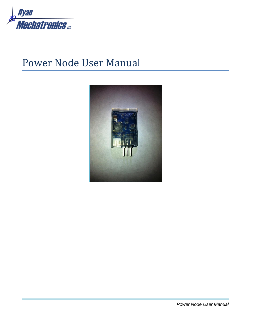

# Power Node User Manual

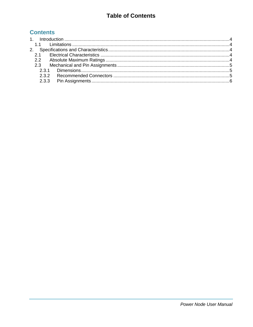### **Table of Contents**

### **Contents**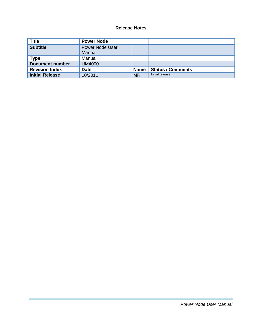#### **Release Notes**

| <b>Title</b>           | <b>Power Node</b>         |             |                          |
|------------------------|---------------------------|-------------|--------------------------|
| <b>Subtitle</b>        | Power Node User<br>Manual |             |                          |
| <b>Type</b>            | Manual                    |             |                          |
| <b>Document number</b> | <b>UM4000</b>             |             |                          |
| <b>Revision Index</b>  | <b>Date</b>               | <b>Name</b> | <b>Status / Comments</b> |
| <b>Initial Release</b> | 10/2011                   | <b>MR</b>   | Initial release          |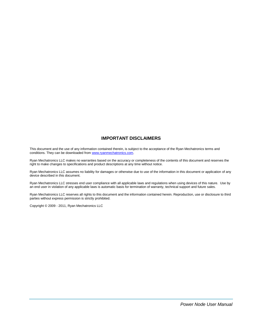#### **IMPORTANT DISCLAIMERS**

This document and the use of any information contained therein, is subject to the acceptance of the Ryan Mechatronics terms and conditions. They can be downloaded fro[m www.ryanmechatronics.com.](http://www.ryanmechatronics.com/)

Ryan Mechatronics LLC makes no warranties based on the accuracy or completeness of the contents of this document and reserves the right to make changes to specifications and product descriptions at any time without notice.

Ryan Mechatronics LLC assumes no liability for damages or otherwise due to use of the information in this document or application of any device described in this document.

Ryan Mechatronics LLC stresses end user compliance with all applicable laws and regulations when using devices of this nature. Use by an end user in violation of any applicable laws is automatic basis for termination of warranty, technical support and future sales.

Ryan Mechatronics LLC reserves all rights to this document and the information contained herein. Reproduction, use or disclosure to third parties without express permission is strictly prohibited.

Copyright © 2009 - 2011, Ryan Mechatronics LLC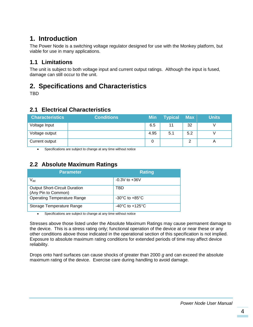# <span id="page-4-0"></span>**1. Introduction**

The Power Node is a switching voltage regulator designed for use with the Monkey platform, but viable for use in many applications.

### <span id="page-4-1"></span>**1.1 Limitations**

The unit is subject to both voltage input and current output ratings. Although the input is fused, damage can still occur to the unit.

# <span id="page-4-2"></span>**2. Specifications and Characteristics**

TBD

### <span id="page-4-3"></span>**2.1 Electrical Characteristics**

| <b>Characteristics</b> | <b>Conditions</b> | <b>Min</b> | <b>Typical Max</b> |     | <b>Units</b>              |
|------------------------|-------------------|------------|--------------------|-----|---------------------------|
| Voltage Input          |                   | 6.5        | 11                 | 32  |                           |
| Voltage output         |                   | 4.95       | 5.1                | 5.2 |                           |
| Current output         |                   |            |                    | າ   | $\boldsymbol{\mathsf{A}}$ |

Specifications are subject to change at any time without notice

## <span id="page-4-4"></span>**2.2 Absolute Maximum Ratings**

| <b>Parameter</b>                                            | <b>Rating</b>                       |
|-------------------------------------------------------------|-------------------------------------|
| $V_{dd}$                                                    | $-0.3V$ to $+36V$                   |
| <b>Output Short-Circuit Duration</b><br>(Any Pin to Common) | TBD                                 |
| <b>Operating Temperature Range</b>                          | $-30^{\circ}$ C to $+85^{\circ}$ C  |
| Storage Temperature Range                                   | $-40^{\circ}$ C to $+125^{\circ}$ C |

Specifications are subject to change at any time without notice

Stresses above those listed under the Absolute Maximum Ratings may cause permanent damage to the device. This is a stress rating only; functional operation of the device at or near these or any other conditions above those indicated in the operational section of this specification is not implied. Exposure to absolute maximum rating conditions for extended periods of time may affect device reliability.

Drops onto hard surfaces can cause shocks of greater than 2000 *g* and can exceed the absolute maximum rating of the device. Exercise care during handling to avoid damage.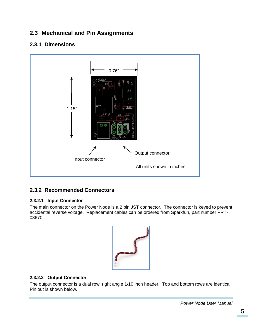### <span id="page-5-0"></span>**2.3 Mechanical and Pin Assignments**

#### <span id="page-5-1"></span>**2.3.1 Dimensions**



#### <span id="page-5-2"></span>**2.3.2 Recommended Connectors**

#### **2.3.2.1 Input Connector**

The main connector on the Power Node is a 2 pin JST connector. The connector is keyed to prevent accidental reverse voltage. Replacement cables can be ordered from Sparkfun, part number PRT-08670.



#### **2.3.2.2 Output Connector**

The output connector is a dual row, right angle 1/10 inch header. Top and bottom rows are identical. Pin out is shown below.